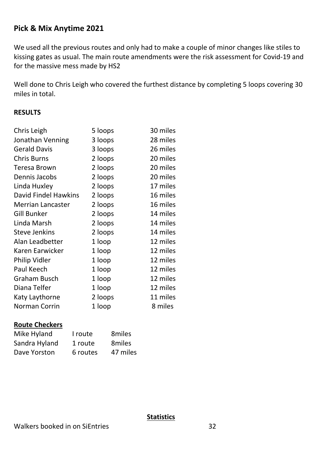# **Pick & Mix Anytime 2021**

We used all the previous routes and only had to make a couple of minor changes like stiles to kissing gates as usual. The main route amendments were the risk assessment for Covid-19 and for the massive mess made by HS2

Well done to Chris Leigh who covered the furthest distance by completing 5 loops covering 30 miles in total.

### **RESULTS**

| Chris Leigh              | 5 loops | 30 miles |
|--------------------------|---------|----------|
| Jonathan Venning         | 3 loops | 28 miles |
| <b>Gerald Davis</b>      | 3 loops | 26 miles |
| <b>Chris Burns</b>       | 2 loops | 20 miles |
| Teresa Brown             | 2 loops | 20 miles |
| Dennis Jacobs            | 2 loops | 20 miles |
| Linda Huxley             | 2 loops | 17 miles |
| David Findel Hawkins     | 2 loops | 16 miles |
| <b>Merrian Lancaster</b> | 2 loops | 16 miles |
| <b>Gill Bunker</b>       | 2 loops | 14 miles |
| Linda Marsh              | 2 loops | 14 miles |
| <b>Steve Jenkins</b>     | 2 loops | 14 miles |
| Alan Leadbetter          | 1 loop  | 12 miles |
| Karen Earwicker          | 1 loop  | 12 miles |
| Philip Vidler            | 1 loop  | 12 miles |
| Paul Keech               | 1 loop  | 12 miles |
| <b>Graham Busch</b>      | 1 loop  | 12 miles |
| Diana Telfer             | 1 loop  | 12 miles |
| Katy Laythorne           | 2 loops | 11 miles |
| Norman Corrin            | 1 loop  | 8 miles  |

#### **Route Checkers**

| Mike Hyland   | I route  | 8miles   |
|---------------|----------|----------|
| Sandra Hyland | 1 route  | 8miles   |
| Dave Yorston  | 6 routes | 47 miles |

#### **Statistics**